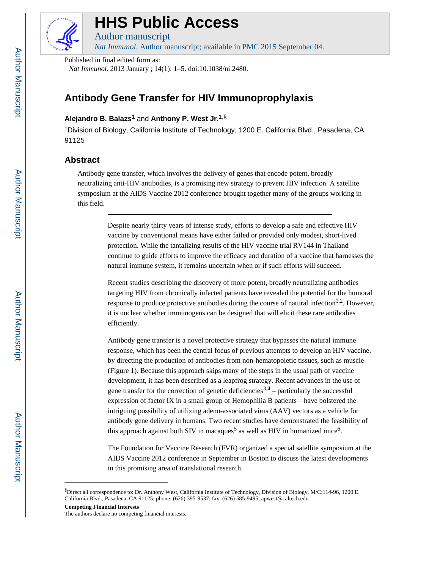

# **HHS Public Access**

Author manuscript

*Nat Immunol*. Author manuscript; available in PMC 2015 September 04.

Published in final edited form as:

*Nat Immunol*. 2013 January ; 14(1): 1–5. doi:10.1038/ni.2480.

## **Antibody Gene Transfer for HIV Immunoprophylaxis**

### **Alejandro B. Balazs**1 and **Anthony P. West Jr.**1,§

<sup>1</sup>Division of Biology, California Institute of Technology, 1200 E. California Blvd., Pasadena, CA 91125

#### **Abstract**

Antibody gene transfer, which involves the delivery of genes that encode potent, broadly neutralizing anti-HIV antibodies, is a promising new strategy to prevent HIV infection. A satellite symposium at the AIDS Vaccine 2012 conference brought together many of the groups working in this field.

> Despite nearly thirty years of intense study, efforts to develop a safe and effective HIV vaccine by conventional means have either failed or provided only modest, short-lived protection. While the tantalizing results of the HIV vaccine trial RV144 in Thailand continue to guide efforts to improve the efficacy and duration of a vaccine that harnesses the natural immune system, it remains uncertain when or if such efforts will succeed.

> Recent studies describing the discovery of more potent, broadly neutralizing antibodies targeting HIV from chronically infected patients have revealed the potential for the humoral response to produce protective antibodies during the course of natural infection<sup>1,2</sup>. However, it is unclear whether immunogens can be designed that will elicit these rare antibodies efficiently.

Antibody gene transfer is a novel protective strategy that bypasses the natural immune response, which has been the central focus of previous attempts to develop an HIV vaccine, by directing the production of antibodies from non-hematopoietic tissues, such as muscle (Figure 1). Because this approach skips many of the steps in the usual path of vaccine development, it has been described as a leapfrog strategy. Recent advances in the use of gene transfer for the correction of genetic deficiencies<sup>3,4</sup> – particularly the successful expression of factor IX in a small group of Hemophilia B patients – have bolstered the intriguing possibility of utilizing adeno-associated virus (AAV) vectors as a vehicle for antibody gene delivery in humans. Two recent studies have demonstrated the feasibility of this approach against both SIV in macaques<sup>5</sup> as well as HIV in humanized mice<sup>6</sup>.

The Foundation for Vaccine Research (FVR) organized a special satellite symposium at the AIDS Vaccine 2012 conference in September in Boston to discuss the latest developments in this promising area of translational research.

<sup>§</sup>Direct all correspondence to: Dr. Anthony West, California Institute of Technology, Division of Biology, M/C:114-96, 1200 E. California Blvd., Pasadena, CA 91125; phone: (626) 395-8537; fax: (626) 585-9495; apwest@caltech.edu.

**Competing Financial Interests**

The authors declare no competing financial interests.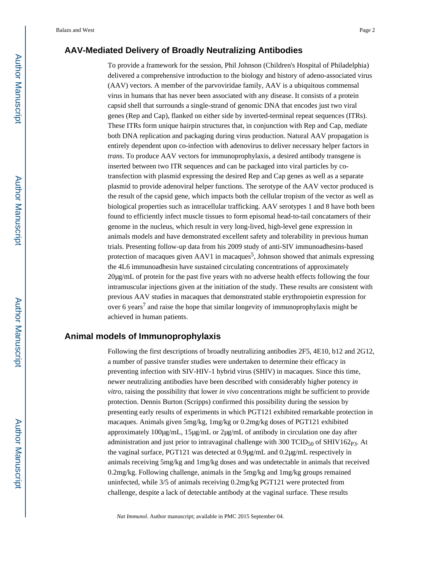#### **AAV-Mediated Delivery of Broadly Neutralizing Antibodies**

To provide a framework for the session, Phil Johnson (Children's Hospital of Philadelphia) delivered a comprehensive introduction to the biology and history of adeno-associated virus (AAV) vectors. A member of the parvoviridae family, AAV is a ubiquitous commensal virus in humans that has never been associated with any disease. It consists of a protein capsid shell that surrounds a single-strand of genomic DNA that encodes just two viral genes (Rep and Cap), flanked on either side by inverted-terminal repeat sequences (ITRs). These ITRs form unique hairpin structures that, in conjunction with Rep and Cap, mediate both DNA replication and packaging during virus production. Natural AAV propagation is entirely dependent upon co-infection with adenovirus to deliver necessary helper factors in *trans*. To produce AAV vectors for immunoprophylaxis, a desired antibody transgene is inserted between two ITR sequences and can be packaged into viral particles by cotransfection with plasmid expressing the desired Rep and Cap genes as well as a separate plasmid to provide adenoviral helper functions. The serotype of the AAV vector produced is the result of the capsid gene, which impacts both the cellular tropism of the vector as well as biological properties such as intracellular trafficking. AAV serotypes 1 and 8 have both been found to efficiently infect muscle tissues to form episomal head-to-tail concatamers of their genome in the nucleus, which result in very long-lived, high-level gene expression in animals models and have demonstrated excellent safety and tolerability in previous human trials. Presenting follow-up data from his 2009 study of anti-SIV immunoadhesins-based protection of macaques given  $AAVI$  in macaques<sup>5</sup>, Johnson showed that animals expressing the 4L6 immunoadhesin have sustained circulating concentrations of approximately 20µg/mL of protein for the past five years with no adverse health effects following the four intramuscular injections given at the initiation of the study. These results are consistent with previous AAV studies in macaques that demonstrated stable erythropoietin expression for over 6 years<sup>7</sup> and raise the hope that similar longevity of immunoprophylaxis might be achieved in human patients.

#### **Animal models of Immunoprophylaxis**

Following the first descriptions of broadly neutralizing antibodies 2F5, 4E10, b12 and 2G12, a number of passive transfer studies were undertaken to determine their efficacy in preventing infection with SIV-HIV-1 hybrid virus (SHIV) in macaques. Since this time, newer neutralizing antibodies have been described with considerably higher potency *in vitro*, raising the possibility that lower *in vivo* concentrations might be sufficient to provide protection. Dennis Burton (Scripps) confirmed this possibility during the session by presenting early results of experiments in which PGT121 exhibited remarkable protection in macaques. Animals given 5mg/kg, 1mg/kg or 0.2mg/kg doses of PGT121 exhibited approximately 100µg/mL, 15µg/mL or 2µg/mL of antibody in circulation one day after administration and just prior to intravaginal challenge with  $300$  TCID<sub>50</sub> of SHIV162<sub>P3</sub>. At the vaginal surface, PGT121 was detected at 0.9µg/mL and 0.2µg/mL respectively in animals receiving 5mg/kg and 1mg/kg doses and was undetectable in animals that received 0.2mg/kg. Following challenge, animals in the 5mg/kg and 1mg/kg groups remained uninfected, while 3/5 of animals receiving 0.2mg/kg PGT121 were protected from challenge, despite a lack of detectable antibody at the vaginal surface. These results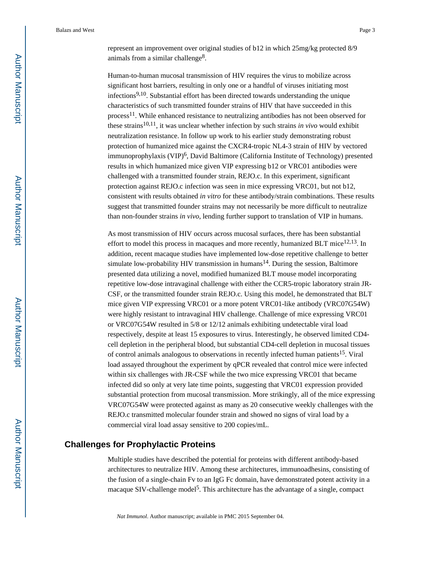Balazs and West Page 3

represent an improvement over original studies of b12 in which 25mg/kg protected 8/9 animals from a similar challenge<sup>8</sup>.

Human-to-human mucosal transmission of HIV requires the virus to mobilize across significant host barriers, resulting in only one or a handful of viruses initiating most infections9,10. Substantial effort has been directed towards understanding the unique characteristics of such transmitted founder strains of HIV that have succeeded in this process<sup>11</sup>. While enhanced resistance to neutralizing antibodies has not been observed for these strains10,11, it was unclear whether infection by such strains *in vivo* would exhibit neutralization resistance. In follow up work to his earlier study demonstrating robust protection of humanized mice against the CXCR4-tropic NL4-3 strain of HIV by vectored immunoprophylaxis (VIP)<sup>6</sup>, David Baltimore (California Institute of Technology) presented results in which humanized mice given VIP expressing b12 or VRC01 antibodies were challenged with a transmitted founder strain, REJO.c. In this experiment, significant protection against REJO.c infection was seen in mice expressing VRC01, but not b12, consistent with results obtained *in vitro* for these antibody/strain combinations. These results suggest that transmitted founder strains may not necessarily be more difficult to neutralize than non-founder strains *in vivo*, lending further support to translation of VIP in humans.

As most transmission of HIV occurs across mucosal surfaces, there has been substantial effort to model this process in macaques and more recently, humanized BLT mice<sup>12,13</sup>. In addition, recent macaque studies have implemented low-dose repetitive challenge to better simulate low-probability HIV transmission in humans<sup>14</sup>. During the session, Baltimore presented data utilizing a novel, modified humanized BLT mouse model incorporating repetitive low-dose intravaginal challenge with either the CCR5-tropic laboratory strain JR-CSF, or the transmitted founder strain REJO.c. Using this model, he demonstrated that BLT mice given VIP expressing VRC01 or a more potent VRC01-like antibody (VRC07G54W) were highly resistant to intravaginal HIV challenge. Challenge of mice expressing VRC01 or VRC07G54W resulted in 5/8 or 12/12 animals exhibiting undetectable viral load respectively, despite at least 15 exposures to virus. Interestingly, he observed limited CD4 cell depletion in the peripheral blood, but substantial CD4-cell depletion in mucosal tissues of control animals analogous to observations in recently infected human patients<sup>15</sup>. Viral load assayed throughout the experiment by qPCR revealed that control mice were infected within six challenges with JR-CSF while the two mice expressing VRC01 that became infected did so only at very late time points, suggesting that VRC01 expression provided substantial protection from mucosal transmission. More strikingly, all of the mice expressing VRC07G54W were protected against as many as 20 consecutive weekly challenges with the REJO.c transmitted molecular founder strain and showed no signs of viral load by a commercial viral load assay sensitive to 200 copies/mL.

#### **Challenges for Prophylactic Proteins**

Multiple studies have described the potential for proteins with different antibody-based architectures to neutralize HIV. Among these architectures, immunoadhesins, consisting of the fusion of a single-chain Fv to an IgG Fc domain, have demonstrated potent activity in a macaque SIV-challenge model<sup>5</sup>. This architecture has the advantage of a single, compact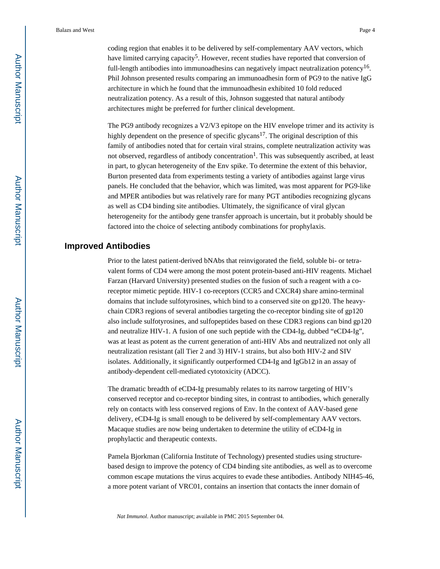Balazs and West Page 4

coding region that enables it to be delivered by self-complementary AAV vectors, which have limited carrying capacity<sup>5</sup>. However, recent studies have reported that conversion of full-length antibodies into immunoadhesins can negatively impact neutralization potency<sup>16</sup>. Phil Johnson presented results comparing an immunoadhesin form of PG9 to the native IgG architecture in which he found that the immunoadhesin exhibited 10 fold reduced neutralization potency. As a result of this, Johnson suggested that natural antibody architectures might be preferred for further clinical development.

The PG9 antibody recognizes a V2/V3 epitope on the HIV envelope trimer and its activity is highly dependent on the presence of specific glycans<sup>17</sup>. The original description of this family of antibodies noted that for certain viral strains, complete neutralization activity was not observed, regardless of antibody concentration<sup>1</sup>. This was subsequently ascribed, at least in part, to glycan heterogeneity of the Env spike. To determine the extent of this behavior, Burton presented data from experiments testing a variety of antibodies against large virus panels. He concluded that the behavior, which was limited, was most apparent for PG9-like and MPER antibodies but was relatively rare for many PGT antibodies recognizing glycans as well as CD4 binding site antibodies. Ultimately, the significance of viral glycan heterogeneity for the antibody gene transfer approach is uncertain, but it probably should be factored into the choice of selecting antibody combinations for prophylaxis.

#### **Improved Antibodies**

Prior to the latest patient-derived bNAbs that reinvigorated the field, soluble bi- or tetravalent forms of CD4 were among the most potent protein-based anti-HIV reagents. Michael Farzan (Harvard University) presented studies on the fusion of such a reagent with a coreceptor mimetic peptide. HIV-1 co-receptors (CCR5 and CXCR4) share amino-terminal domains that include sulfotyrosines, which bind to a conserved site on gp120. The heavychain CDR3 regions of several antibodies targeting the co-receptor binding site of gp120 also include sulfotyrosines, and sulfopeptides based on these CDR3 regions can bind gp120 and neutralize HIV-1. A fusion of one such peptide with the CD4-Ig, dubbed "eCD4-Ig", was at least as potent as the current generation of anti-HIV Abs and neutralized not only all neutralization resistant (all Tier 2 and 3) HIV-1 strains, but also both HIV-2 and SIV isolates. Additionally, it significantly outperformed CD4-Ig and IgGb12 in an assay of antibody-dependent cell-mediated cytotoxicity (ADCC).

The dramatic breadth of eCD4-Ig presumably relates to its narrow targeting of HIV's conserved receptor and co-receptor binding sites, in contrast to antibodies, which generally rely on contacts with less conserved regions of Env. In the context of AAV-based gene delivery, eCD4-Ig is small enough to be delivered by self-complementary AAV vectors. Macaque studies are now being undertaken to determine the utility of eCD4-Ig in prophylactic and therapeutic contexts.

Pamela Bjorkman (California Institute of Technology) presented studies using structurebased design to improve the potency of CD4 binding site antibodies, as well as to overcome common escape mutations the virus acquires to evade these antibodies. Antibody NIH45-46, a more potent variant of VRC01, contains an insertion that contacts the inner domain of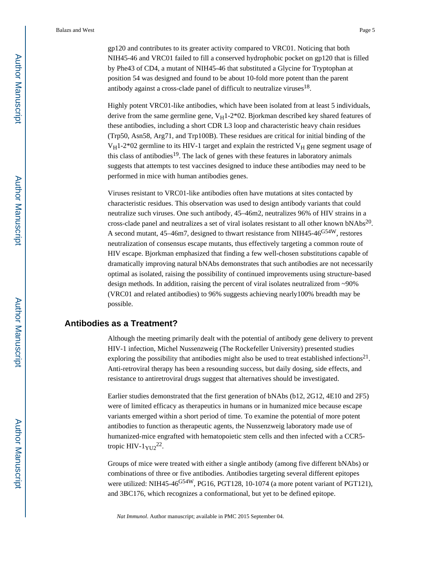gp120 and contributes to its greater activity compared to VRC01. Noticing that both NIH45-46 and VRC01 failed to fill a conserved hydrophobic pocket on gp120 that is filled by Phe43 of CD4, a mutant of NIH45-46 that substituted a Glycine for Tryptophan at position 54 was designed and found to be about 10-fold more potent than the parent antibody against a cross-clade panel of difficult to neutralize viruses $^{18}$ .

Highly potent VRC01-like antibodies, which have been isolated from at least 5 individuals, derive from the same germline gene,  $V_H$ 1-2\*02. Bjorkman described key shared features of these antibodies, including a short CDR L3 loop and characteristic heavy chain residues (Trp50, Asn58, Arg71, and Trp100B). These residues are critical for initial binding of the  $V_H$ 1-2\*02 germline to its HIV-1 target and explain the restricted  $V_H$  gene segment usage of this class of antibodies<sup>19</sup>. The lack of genes with these features in laboratory animals suggests that attempts to test vaccines designed to induce these antibodies may need to be performed in mice with human antibodies genes.

Viruses resistant to VRC01-like antibodies often have mutations at sites contacted by characteristic residues. This observation was used to design antibody variants that could neutralize such viruses. One such antibody, 45–46m2, neutralizes 96% of HIV strains in a cross-clade panel and neutralizes a set of viral isolates resistant to all other known bNAbs<sup>20</sup>. A second mutant, 45–46m7, designed to thwart resistance from NIH45-46<sup>G54W</sup>, restores neutralization of consensus escape mutants, thus effectively targeting a common route of HIV escape. Bjorkman emphasized that finding a few well-chosen substitutions capable of dramatically improving natural bNAbs demonstrates that such antibodies are not necessarily optimal as isolated, raising the possibility of continued improvements using structure-based design methods. In addition, raising the percent of viral isolates neutralized from ~90% (VRC01 and related antibodies) to 96% suggests achieving nearly100% breadth may be possible.

#### **Antibodies as a Treatment?**

Although the meeting primarily dealt with the potential of antibody gene delivery to prevent HIV-1 infection, Michel Nussenzweig (The Rockefeller University) presented studies exploring the possibility that antibodies might also be used to treat established infections<sup>21</sup>. Anti-retroviral therapy has been a resounding success, but daily dosing, side effects, and resistance to antiretroviral drugs suggest that alternatives should be investigated.

Earlier studies demonstrated that the first generation of bNAbs (b12, 2G12, 4E10 and 2F5) were of limited efficacy as therapeutics in humans or in humanized mice because escape variants emerged within a short period of time. To examine the potential of more potent antibodies to function as therapeutic agents, the Nussenzweig laboratory made use of humanized-mice engrafted with hematopoietic stem cells and then infected with a CCR5 tropic HIV- $1_{\text{YU2}}^{22}$ .

Groups of mice were treated with either a single antibody (among five different bNAbs) or combinations of three or five antibodies. Antibodies targeting several different epitopes were utilized: NIH45-46<sup>G54W</sup>, PG16, PGT128, 10-1074 (a more potent variant of PGT121), and 3BC176, which recognizes a conformational, but yet to be defined epitope.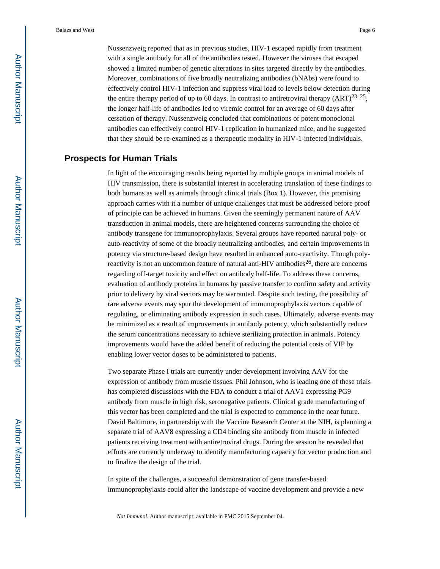Nussenzweig reported that as in previous studies, HIV-1 escaped rapidly from treatment with a single antibody for all of the antibodies tested. However the viruses that escaped showed a limited number of genetic alterations in sites targeted directly by the antibodies. Moreover, combinations of five broadly neutralizing antibodies (bNAbs) were found to effectively control HIV-1 infection and suppress viral load to levels below detection during the entire therapy period of up to 60 days. In contrast to antiretroviral therapy  $(ART)^{23-25}$ , the longer half-life of antibodies led to viremic control for an average of 60 days after cessation of therapy. Nussenzweig concluded that combinations of potent monoclonal antibodies can effectively control HIV-1 replication in humanized mice, and he suggested that they should be re-examined as a therapeutic modality in HIV-1-infected individuals.

#### **Prospects for Human Trials**

In light of the encouraging results being reported by multiple groups in animal models of HIV transmission, there is substantial interest in accelerating translation of these findings to both humans as well as animals through clinical trials (Box 1). However, this promising approach carries with it a number of unique challenges that must be addressed before proof of principle can be achieved in humans. Given the seemingly permanent nature of AAV transduction in animal models, there are heightened concerns surrounding the choice of antibody transgene for immunoprophylaxis. Several groups have reported natural poly- or auto-reactivity of some of the broadly neutralizing antibodies, and certain improvements in potency via structure-based design have resulted in enhanced auto-reactivity. Though polyreactivity is not an uncommon feature of natural anti-HIV antibodies<sup>26</sup>, there are concerns regarding off-target toxicity and effect on antibody half-life. To address these concerns, evaluation of antibody proteins in humans by passive transfer to confirm safety and activity prior to delivery by viral vectors may be warranted. Despite such testing, the possibility of rare adverse events may spur the development of immunoprophylaxis vectors capable of regulating, or eliminating antibody expression in such cases. Ultimately, adverse events may be minimized as a result of improvements in antibody potency, which substantially reduce the serum concentrations necessary to achieve sterilizing protection in animals. Potency improvements would have the added benefit of reducing the potential costs of VIP by enabling lower vector doses to be administered to patients.

Two separate Phase I trials are currently under development involving AAV for the expression of antibody from muscle tissues. Phil Johnson, who is leading one of these trials has completed discussions with the FDA to conduct a trial of AAV1 expressing PG9 antibody from muscle in high risk, seronegative patients. Clinical grade manufacturing of this vector has been completed and the trial is expected to commence in the near future. David Baltimore, in partnership with the Vaccine Research Center at the NIH, is planning a separate trial of AAV8 expressing a CD4 binding site antibody from muscle in infected patients receiving treatment with antiretroviral drugs. During the session he revealed that efforts are currently underway to identify manufacturing capacity for vector production and to finalize the design of the trial.

In spite of the challenges, a successful demonstration of gene transfer-based immunoprophylaxis could alter the landscape of vaccine development and provide a new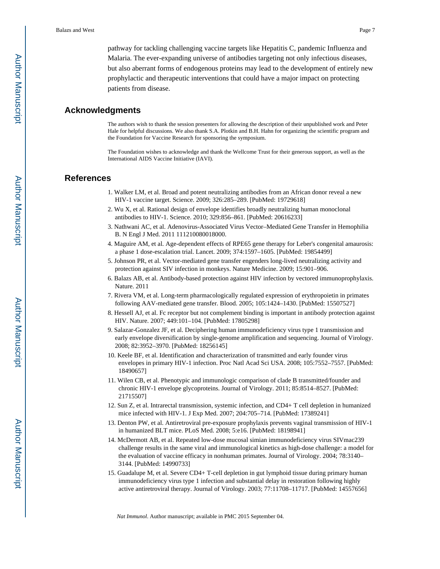pathway for tackling challenging vaccine targets like Hepatitis C, pandemic Influenza and Malaria. The ever-expanding universe of antibodies targeting not only infectious diseases, but also aberrant forms of endogenous proteins may lead to the development of entirely new prophylactic and therapeutic interventions that could have a major impact on protecting patients from disease.

#### **Acknowledgments**

The authors wish to thank the session presenters for allowing the description of their unpublished work and Peter Hale for helpful discussions. We also thank S.A. Plotkin and B.H. Hahn for organizing the scientific program and the Foundation for Vaccine Research for sponsoring the symposium.

The Foundation wishes to acknowledge and thank the Wellcome Trust for their generous support, as well as the International AIDS Vaccine Initiative (IAVI).

#### **References**

- 1. Walker LM, et al. Broad and potent neutralizing antibodies from an African donor reveal a new HIV-1 vaccine target. Science. 2009; 326:285–289. [PubMed: 19729618]
- 2. Wu X, et al. Rational design of envelope identifies broadly neutralizing human monoclonal antibodies to HIV-1. Science. 2010; 329:856–861. [PubMed: 20616233]
- 3. Nathwani AC, et al. Adenovirus-Associated Virus Vector–Mediated Gene Transfer in Hemophilia B. N Engl J Med. 2011 111210080018000.
- 4. Maguire AM, et al. Age-dependent effects of RPE65 gene therapy for Leber's congenital amaurosis: a phase 1 dose-escalation trial. Lancet. 2009; 374:1597–1605. [PubMed: 19854499]
- 5. Johnson PR, et al. Vector-mediated gene transfer engenders long-lived neutralizing activity and protection against SIV infection in monkeys. Nature Medicine. 2009; 15:901–906.
- 6. Balazs AB, et al. Antibody-based protection against HIV infection by vectored immunoprophylaxis. Nature. 2011
- 7. Rivera VM, et al. Long-term pharmacologically regulated expression of erythropoietin in primates following AAV-mediated gene transfer. Blood. 2005; 105:1424–1430. [PubMed: 15507527]
- 8. Hessell AJ, et al. Fc receptor but not complement binding is important in antibody protection against HIV. Nature. 2007; 449:101–104. [PubMed: 17805298]
- 9. Salazar-Gonzalez JF, et al. Deciphering human immunodeficiency virus type 1 transmission and early envelope diversification by single-genome amplification and sequencing. Journal of Virology. 2008; 82:3952–3970. [PubMed: 18256145]
- 10. Keele BF, et al. Identification and characterization of transmitted and early founder virus envelopes in primary HIV-1 infection. Proc Natl Acad Sci USA. 2008; 105:7552–7557. [PubMed: 18490657]
- 11. Wilen CB, et al. Phenotypic and immunologic comparison of clade B transmitted/founder and chronic HIV-1 envelope glycoproteins. Journal of Virology. 2011; 85:8514–8527. [PubMed: 21715507]
- 12. Sun Z, et al. Intrarectal transmission, systemic infection, and CD4+ T cell depletion in humanized mice infected with HIV-1. J Exp Med. 2007; 204:705–714. [PubMed: 17389241]
- 13. Denton PW, et al. Antiretroviral pre-exposure prophylaxis prevents vaginal transmission of HIV-1 in humanized BLT mice. PLoS Med. 2008; 5:e16. [PubMed: 18198941]
- 14. McDermott AB, et al. Repeated low-dose mucosal simian immunodeficiency virus SIVmac239 challenge results in the same viral and immunological kinetics as high-dose challenge: a model for the evaluation of vaccine efficacy in nonhuman primates. Journal of Virology. 2004; 78:3140– 3144. [PubMed: 14990733]
- 15. Guadalupe M, et al. Severe CD4+ T-cell depletion in gut lymphoid tissue during primary human immunodeficiency virus type 1 infection and substantial delay in restoration following highly active antiretroviral therapy. Journal of Virology. 2003; 77:11708–11717. [PubMed: 14557656]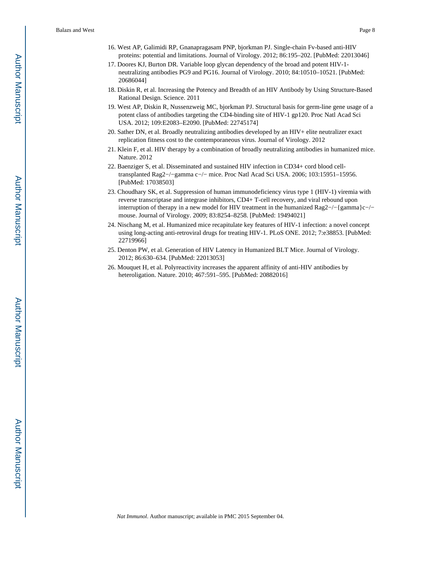- 16. West AP, Galimidi RP, Gnanapragasam PNP, bjorkman PJ. Single-chain Fv-based anti-HIV proteins: potential and limitations. Journal of Virology. 2012; 86:195–202. [PubMed: 22013046]
- 17. Doores KJ, Burton DR. Variable loop glycan dependency of the broad and potent HIV-1 neutralizing antibodies PG9 and PG16. Journal of Virology. 2010; 84:10510–10521. [PubMed: 20686044]
- 18. Diskin R, et al. Increasing the Potency and Breadth of an HIV Antibody by Using Structure-Based Rational Design. Science. 2011
- 19. West AP, Diskin R, Nussenzweig MC, bjorkman PJ. Structural basis for germ-line gene usage of a potent class of antibodies targeting the CD4-binding site of HIV-1 gp120. Proc Natl Acad Sci USA. 2012; 109:E2083–E2090. [PubMed: 22745174]
- 20. Sather DN, et al. Broadly neutralizing antibodies developed by an HIV+ elite neutralizer exact replication fitness cost to the contemporaneous virus. Journal of Virology. 2012
- 21. Klein F, et al. HIV therapy by a combination of broadly neutralizing antibodies in humanized mice. Nature. 2012
- 22. Baenziger S, et al. Disseminated and sustained HIV infection in CD34+ cord blood celltransplanted Rag2−/−gamma c−/− mice. Proc Natl Acad Sci USA. 2006; 103:15951–15956. [PubMed: 17038503]
- 23. Choudhary SK, et al. Suppression of human immunodeficiency virus type 1 (HIV-1) viremia with reverse transcriptase and integrase inhibitors, CD4+ T-cell recovery, and viral rebound upon interruption of therapy in a new model for HIV treatment in the humanized Rag2−/−{gamma}c−/− mouse. Journal of Virology. 2009; 83:8254–8258. [PubMed: 19494021]
- 24. Nischang M, et al. Humanized mice recapitulate key features of HIV-1 infection: a novel concept using long-acting anti-retroviral drugs for treating HIV-1. PLoS ONE. 2012; 7:e38853. [PubMed: 22719966]
- 25. Denton PW, et al. Generation of HIV Latency in Humanized BLT Mice. Journal of Virology. 2012; 86:630–634. [PubMed: 22013053]
- 26. Mouquet H, et al. Polyreactivity increases the apparent affinity of anti-HIV antibodies by heteroligation. Nature. 2010; 467:591–595. [PubMed: 20882016]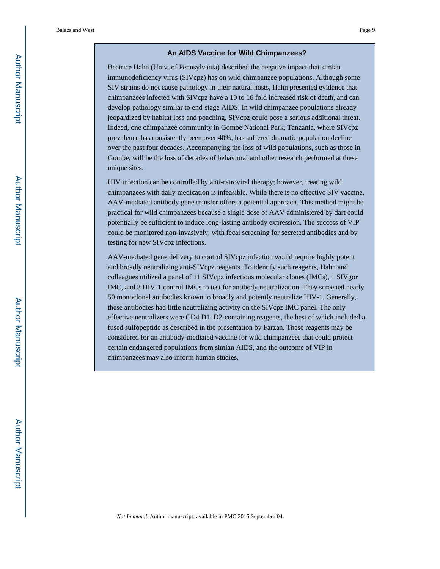#### **An AIDS Vaccine for Wild Chimpanzees?**

Beatrice Hahn (Univ. of Pennsylvania) described the negative impact that simian immunodeficiency virus (SIVcpz) has on wild chimpanzee populations. Although some SIV strains do not cause pathology in their natural hosts, Hahn presented evidence that chimpanzees infected with SIVcpz have a 10 to 16 fold increased risk of death, and can develop pathology similar to end-stage AIDS. In wild chimpanzee populations already jeopardized by habitat loss and poaching, SIVcpz could pose a serious additional threat. Indeed, one chimpanzee community in Gombe National Park, Tanzania, where SIVcpz prevalence has consistently been over 40%, has suffered dramatic population decline over the past four decades. Accompanying the loss of wild populations, such as those in Gombe, will be the loss of decades of behavioral and other research performed at these unique sites.

HIV infection can be controlled by anti-retroviral therapy; however, treating wild chimpanzees with daily medication is infeasible. While there is no effective SIV vaccine, AAV-mediated antibody gene transfer offers a potential approach. This method might be practical for wild chimpanzees because a single dose of AAV administered by dart could potentially be sufficient to induce long-lasting antibody expression. The success of VIP could be monitored non-invasively, with fecal screening for secreted antibodies and by testing for new SIVcpz infections.

AAV-mediated gene delivery to control SIVcpz infection would require highly potent and broadly neutralizing anti-SIVcpz reagents. To identify such reagents, Hahn and colleagues utilized a panel of 11 SIVcpz infectious molecular clones (IMCs), 1 SIVgor IMC, and 3 HIV-1 control IMCs to test for antibody neutralization. They screened nearly 50 monoclonal antibodies known to broadly and potently neutralize HIV-1. Generally, these antibodies had little neutralizing activity on the SIVcpz IMC panel. The only effective neutralizers were CD4 D1–D2-containing reagents, the best of which included a fused sulfopeptide as described in the presentation by Farzan. These reagents may be considered for an antibody-mediated vaccine for wild chimpanzees that could protect certain endangered populations from simian AIDS, and the outcome of VIP in chimpanzees may also inform human studies.